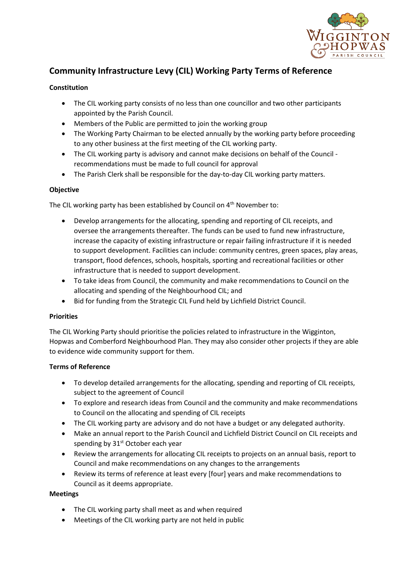

# **Community Infrastructure Levy (CIL) Working Party Terms of Reference**

## **Constitution**

- The CIL working party consists of no less than one councillor and two other participants appointed by the Parish Council.
- Members of the Public are permitted to join the working group
- The Working Party Chairman to be elected annually by the working party before proceeding to any other business at the first meeting of the CIL working party.
- The CIL working party is advisory and cannot make decisions on behalf of the Council recommendations must be made to full council for approval
- The Parish Clerk shall be responsible for the day-to-day CIL working party matters.

## **Objective**

The CIL working party has been established by Council on 4<sup>th</sup> November to:

- Develop arrangements for the allocating, spending and reporting of CIL receipts, and oversee the arrangements thereafter. The funds can be used to fund new infrastructure, increase the capacity of existing infrastructure or repair failing infrastructure if it is needed to support development. Facilities can include: community centres, green spaces, play areas, transport, flood defences, schools, hospitals, sporting and recreational facilities or other infrastructure that is needed to support development.
- To take ideas from Council, the community and make recommendations to Council on the allocating and spending of the Neighbourhood CIL; and
- Bid for funding from the Strategic CIL Fund held by Lichfield District Council.

#### **Priorities**

The CIL Working Party should prioritise the policies related to infrastructure in the Wigginton, Hopwas and Comberford Neighbourhood Plan. They may also consider other projects if they are able to evidence wide community support for them.

#### **Terms of Reference**

- To develop detailed arrangements for the allocating, spending and reporting of CIL receipts, subject to the agreement of Council
- To explore and research ideas from Council and the community and make recommendations to Council on the allocating and spending of CIL receipts
- The CIL working party are advisory and do not have a budget or any delegated authority.
- Make an annual report to the Parish Council and Lichfield District Council on CIL receipts and spending by  $31<sup>st</sup>$  October each year
- Review the arrangements for allocating CIL receipts to projects on an annual basis, report to Council and make recommendations on any changes to the arrangements
- Review its terms of reference at least every [four] years and make recommendations to Council as it deems appropriate.

#### **Meetings**

- The CIL working party shall meet as and when required
- Meetings of the CIL working party are not held in public